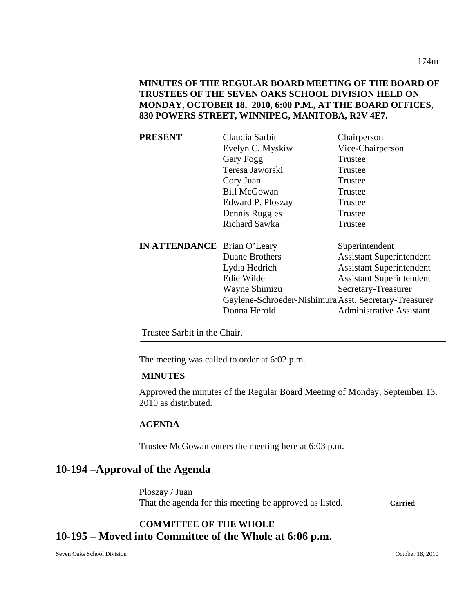# **PRESENT** Claudia Sarbit Chairperson Evelyn C. Myskiw Vice-Chairperson Gary Fogg Trustee Teresa Jaworski Trustee Cory Juan Trustee Bill McGowan Trustee Edward P. Ploszay Trustee Dennis Ruggles Trustee Richard Sawka Trustee **IN ATTENDANCE** Brian O'Leary Superintendent Duane Brothers Assistant Superintendent Lydia Hedrich Assistant Superintendent Edie Wilde Assistant Superintendent Wayne Shimizu Secretary-Treasurer Gaylene-Schroeder-Nishimura Asst. Secretary-Treasurer Donna Herold Administrative Assistant

**830 POWERS STREET, WINNIPEG, MANITOBA, R2V 4E7.** 

Trustee Sarbit in the Chair.

The meeting was called to order at 6:02 p.m.

#### **MINUTES**

Approved the minutes of the Regular Board Meeting of Monday, September 13, 2010 as distributed.

## **AGENDA**

Trustee McGowan enters the meeting here at 6:03 p.m.

# **10-194 –Approval of the Agenda**

Ploszay / Juan That the agenda for this meeting be approved as listed. **Carried**

# **COMMITTEE OF THE WHOLE 10-195 – Moved into Committee of the Whole at 6:06 p.m.**

Seven Oaks School Division October 18, 2010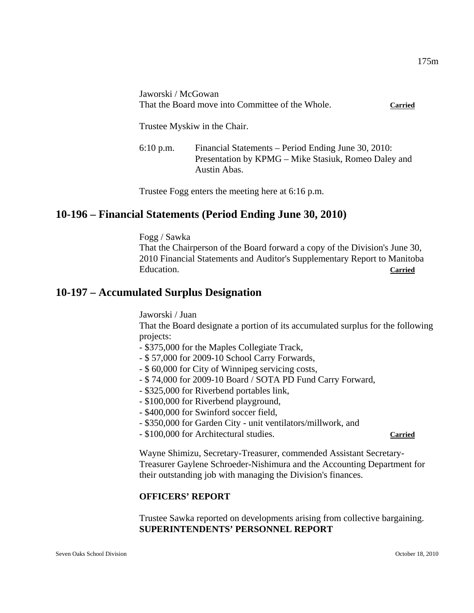Jaworski / McGowan That the Board move into Committee of the Whole. **Carried**

Trustee Myskiw in the Chair.

6:10 p.m. Financial Statements – Period Ending June 30, 2010: Presentation by KPMG – Mike Stasiuk, Romeo Daley and Austin Abas.

Trustee Fogg enters the meeting here at 6:16 p.m.

# **10-196 – Financial Statements (Period Ending June 30, 2010)**

Fogg / Sawka

That the Chairperson of the Board forward a copy of the Division's June 30, 2010 Financial Statements and Auditor's Supplementary Report to Manitoba Education. **Carried**

# **10-197 – Accumulated Surplus Designation**

Jaworski / Juan

That the Board designate a portion of its accumulated surplus for the following projects:

- \$375,000 for the Maples Collegiate Track,
- \$ 57,000 for 2009-10 School Carry Forwards,
- \$ 60,000 for City of Winnipeg servicing costs,
- \$ 74,000 for 2009-10 Board / SOTA PD Fund Carry Forward,
- \$325,000 for Riverbend portables link,
- \$100,000 for Riverbend playground,
- \$400,000 for Swinford soccer field,
- \$350,000 for Garden City unit ventilators/millwork, and
- \$100,000 for Architectural studies. **Carried**

Wayne Shimizu, Secretary-Treasurer, commended Assistant Secretary-Treasurer Gaylene Schroeder-Nishimura and the Accounting Department for their outstanding job with managing the Division's finances.

## **OFFICERS' REPORT**

Trustee Sawka reported on developments arising from collective bargaining. **SUPERINTENDENTS' PERSONNEL REPORT**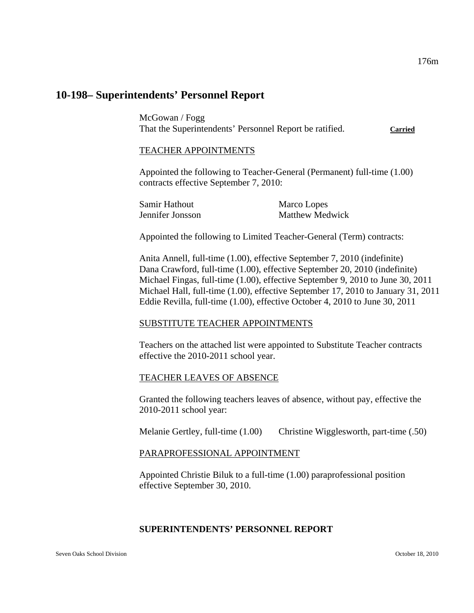# **10-198– Superintendents' Personnel Report**

McGowan / Fogg That the Superintendents' Personnel Report be ratified. **Carried**

#### TEACHER APPOINTMENTS

Appointed the following to Teacher-General (Permanent) full-time (1.00) contracts effective September 7, 2010:

| Samir Hathout    | Marco Lopes            |
|------------------|------------------------|
| Jennifer Jonsson | <b>Matthew Medwick</b> |

Appointed the following to Limited Teacher-General (Term) contracts:

Anita Annell, full-time (1.00), effective September 7, 2010 (indefinite) Dana Crawford, full-time (1.00), effective September 20, 2010 (indefinite) Michael Fingas, full-time (1.00), effective September 9, 2010 to June 30, 2011 Michael Hall, full-time (1.00), effective September 17, 2010 to January 31, 2011 Eddie Revilla, full-time (1.00), effective October 4, 2010 to June 30, 2011

#### SUBSTITUTE TEACHER APPOINTMENTS

Teachers on the attached list were appointed to Substitute Teacher contracts effective the 2010-2011 school year.

## TEACHER LEAVES OF ABSENCE

Granted the following teachers leaves of absence, without pay, effective the 2010-2011 school year:

Melanie Gertley, full-time (1.00) Christine Wigglesworth, part-time (.50)

## PARAPROFESSIONAL APPOINTMENT

Appointed Christie Biluk to a full-time (1.00) paraprofessional position effective September 30, 2010.

## **SUPERINTENDENTS' PERSONNEL REPORT**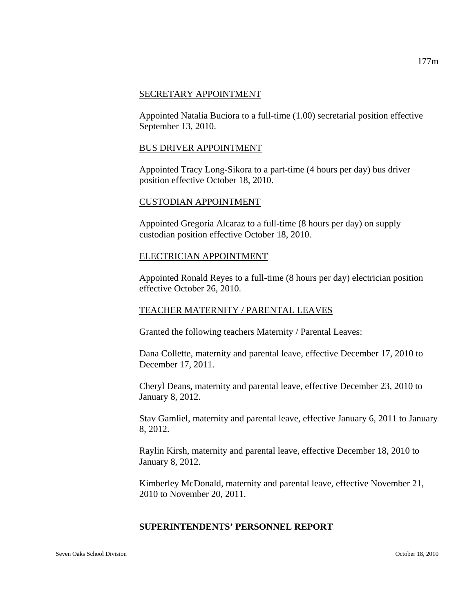#### SECRETARY APPOINTMENT

Appointed Natalia Buciora to a full-time (1.00) secretarial position effective September 13, 2010.

#### BUS DRIVER APPOINTMENT

Appointed Tracy Long-Sikora to a part-time (4 hours per day) bus driver position effective October 18, 2010.

#### CUSTODIAN APPOINTMENT

Appointed Gregoria Alcaraz to a full-time (8 hours per day) on supply custodian position effective October 18, 2010.

#### ELECTRICIAN APPOINTMENT

Appointed Ronald Reyes to a full-time (8 hours per day) electrician position effective October 26, 2010.

## TEACHER MATERNITY / PARENTAL LEAVES

Granted the following teachers Maternity / Parental Leaves:

Dana Collette, maternity and parental leave, effective December 17, 2010 to December 17, 2011.

Cheryl Deans, maternity and parental leave, effective December 23, 2010 to January 8, 2012.

Stav Gamliel, maternity and parental leave, effective January 6, 2011 to January 8, 2012.

Raylin Kirsh, maternity and parental leave, effective December 18, 2010 to January 8, 2012.

Kimberley McDonald, maternity and parental leave, effective November 21, 2010 to November 20, 2011.

## **SUPERINTENDENTS' PERSONNEL REPORT**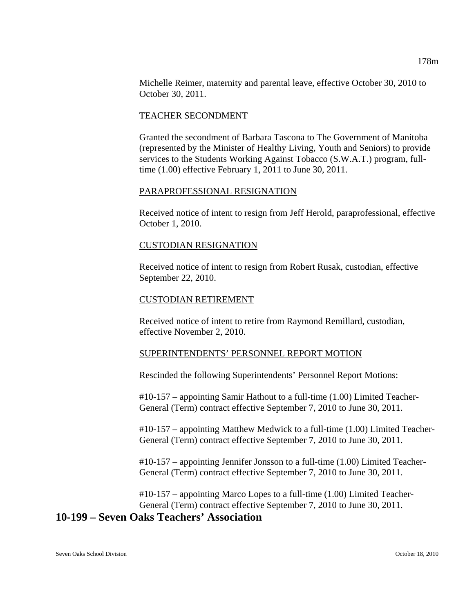Michelle Reimer, maternity and parental leave, effective October 30, 2010 to October 30, 2011.

#### TEACHER SECONDMENT

Granted the secondment of Barbara Tascona to The Government of Manitoba (represented by the Minister of Healthy Living, Youth and Seniors) to provide services to the Students Working Against Tobacco (S.W.A.T.) program, fulltime (1.00) effective February 1, 2011 to June 30, 2011.

#### PARAPROFESSIONAL RESIGNATION

Received notice of intent to resign from Jeff Herold, paraprofessional, effective October 1, 2010.

#### CUSTODIAN RESIGNATION

Received notice of intent to resign from Robert Rusak, custodian, effective September 22, 2010.

#### CUSTODIAN RETIREMENT

Received notice of intent to retire from Raymond Remillard, custodian, effective November 2, 2010.

## SUPERINTENDENTS' PERSONNEL REPORT MOTION

Rescinded the following Superintendents' Personnel Report Motions:

#10-157 – appointing Samir Hathout to a full-time (1.00) Limited Teacher-General (Term) contract effective September 7, 2010 to June 30, 2011.

#10-157 – appointing Matthew Medwick to a full-time (1.00) Limited Teacher-General (Term) contract effective September 7, 2010 to June 30, 2011.

#10-157 – appointing Jennifer Jonsson to a full-time (1.00) Limited Teacher-General (Term) contract effective September 7, 2010 to June 30, 2011.

#10-157 – appointing Marco Lopes to a full-time (1.00) Limited Teacher-General (Term) contract effective September 7, 2010 to June 30, 2011.

# **10-199 – Seven Oaks Teachers' Association**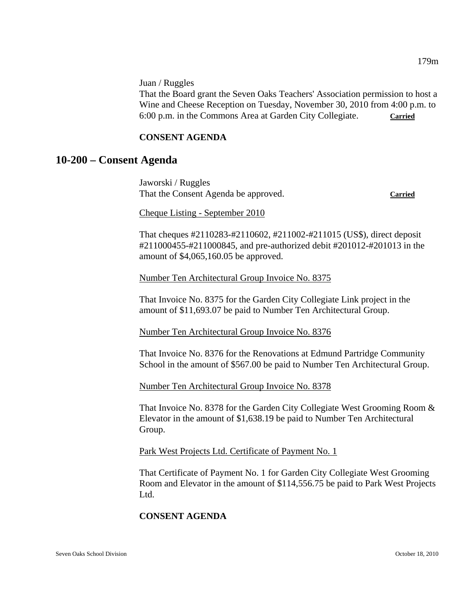Juan / Ruggles

That the Board grant the Seven Oaks Teachers' Association permission to host a Wine and Cheese Reception on Tuesday, November 30, 2010 from 4:00 p.m. to 6:00 p.m. in the Commons Area at Garden City Collegiate. **Carried**

#### **CONSENT AGENDA**

# **10-200 – Consent Agenda**

Jaworski / Ruggles That the Consent Agenda be approved. **Carried**

Cheque Listing - September 2010

That cheques #2110283-#2110602, #211002-#211015 (US\$), direct deposit #211000455-#211000845, and pre-authorized debit #201012-#201013 in the amount of \$4,065,160.05 be approved.

Number Ten Architectural Group Invoice No. 8375

That Invoice No. 8375 for the Garden City Collegiate Link project in the amount of \$11,693.07 be paid to Number Ten Architectural Group.

Number Ten Architectural Group Invoice No. 8376

That Invoice No. 8376 for the Renovations at Edmund Partridge Community School in the amount of \$567.00 be paid to Number Ten Architectural Group.

Number Ten Architectural Group Invoice No. 8378

That Invoice No. 8378 for the Garden City Collegiate West Grooming Room & Elevator in the amount of \$1,638.19 be paid to Number Ten Architectural Group.

Park West Projects Ltd. Certificate of Payment No. 1

That Certificate of Payment No. 1 for Garden City Collegiate West Grooming Room and Elevator in the amount of \$114,556.75 be paid to Park West Projects Ltd.

## **CONSENT AGENDA**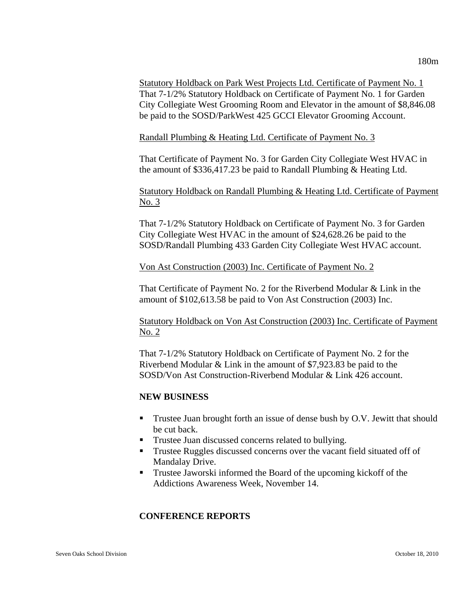Statutory Holdback on Park West Projects Ltd. Certificate of Payment No. 1 That 7-1/2% Statutory Holdback on Certificate of Payment No. 1 for Garden City Collegiate West Grooming Room and Elevator in the amount of \$8,846.08 be paid to the SOSD/ParkWest 425 GCCI Elevator Grooming Account.

Randall Plumbing & Heating Ltd. Certificate of Payment No. 3

That Certificate of Payment No. 3 for Garden City Collegiate West HVAC in the amount of \$336,417.23 be paid to Randall Plumbing & Heating Ltd.

Statutory Holdback on Randall Plumbing & Heating Ltd. Certificate of Payment No. 3

That 7-1/2% Statutory Holdback on Certificate of Payment No. 3 for Garden City Collegiate West HVAC in the amount of \$24,628.26 be paid to the SOSD/Randall Plumbing 433 Garden City Collegiate West HVAC account.

Von Ast Construction (2003) Inc. Certificate of Payment No. 2

That Certificate of Payment No. 2 for the Riverbend Modular & Link in the amount of \$102,613.58 be paid to Von Ast Construction (2003) Inc.

Statutory Holdback on Von Ast Construction (2003) Inc. Certificate of Payment No. 2

That 7-1/2% Statutory Holdback on Certificate of Payment No. 2 for the Riverbend Modular & Link in the amount of \$7,923.83 be paid to the SOSD/Von Ast Construction-Riverbend Modular & Link 426 account.

## **NEW BUSINESS**

- Trustee Juan brought forth an issue of dense bush by O.V. Jewitt that should be cut back.
- **Trustee Juan discussed concerns related to bullying.**
- **Trustee Ruggles discussed concerns over the vacant field situated off of** Mandalay Drive.
- Trustee Jaworski informed the Board of the upcoming kickoff of the Addictions Awareness Week, November 14.

# **CONFERENCE REPORTS**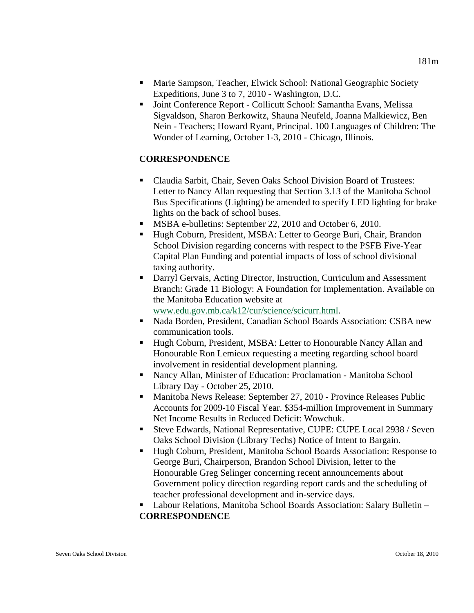- Marie Sampson, Teacher, Elwick School: National Geographic Society Expeditions, June 3 to 7, 2010 - Washington, D.C.
- Joint Conference Report Collicutt School: Samantha Evans, Melissa Sigvaldson, Sharon Berkowitz, Shauna Neufeld, Joanna Malkiewicz, Ben Nein - Teachers; Howard Ryant, Principal. 100 Languages of Children: The Wonder of Learning, October 1-3, 2010 - Chicago, Illinois.

# **CORRESPONDENCE**

- Claudia Sarbit, Chair, Seven Oaks School Division Board of Trustees: Letter to Nancy Allan requesting that Section 3.13 of the Manitoba School Bus Specifications (Lighting) be amended to specify LED lighting for brake lights on the back of school buses.
- **MSBA e-bulletins: September 22, 2010 and October 6, 2010.**
- Hugh Coburn, President, MSBA: Letter to George Buri, Chair, Brandon School Division regarding concerns with respect to the PSFB Five-Year Capital Plan Funding and potential impacts of loss of school divisional taxing authority.
- Darryl Gervais, Acting Director, Instruction, Curriculum and Assessment Branch: Grade 11 Biology: A Foundation for Implementation. Available on the Manitoba Education website at [www.edu.gov.mb.ca/k12/cur/science/scicurr.html](http://www.edu.gov.mb.ca/k12/cur/science/scicurr.html).
- Nada Borden, President, Canadian School Boards Association: CSBA new communication tools.
- Hugh Coburn, President, MSBA: Letter to Honourable Nancy Allan and Honourable Ron Lemieux requesting a meeting regarding school board involvement in residential development planning.
- Nancy Allan, Minister of Education: Proclamation Manitoba School Library Day - October 25, 2010.
- Manitoba News Release: September 27, 2010 Province Releases Public Accounts for 2009-10 Fiscal Year. \$354-million Improvement in Summary Net Income Results in Reduced Deficit: Wowchuk.
- Steve Edwards, National Representative, CUPE: CUPE Local 2938 / Seven Oaks School Division (Library Techs) Notice of Intent to Bargain.
- Hugh Coburn, President, Manitoba School Boards Association: Response to George Buri, Chairperson, Brandon School Division, letter to the Honourable Greg Selinger concerning recent announcements about Government policy direction regarding report cards and the scheduling of teacher professional development and in-service days.
- Labour Relations, Manitoba School Boards Association: Salary Bulletin **CORRESPONDENCE**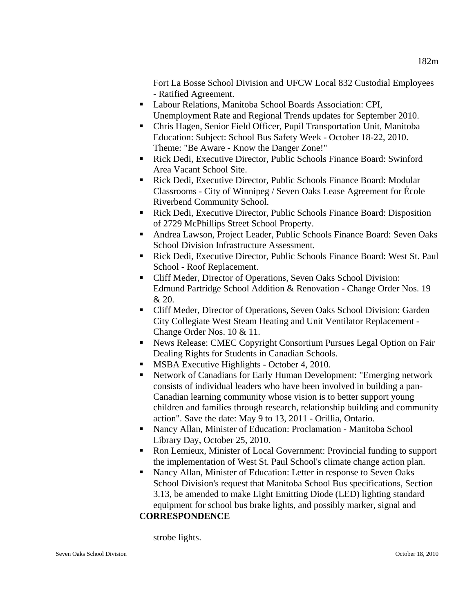Fort La Bosse School Division and UFCW Local 832 Custodial Employees - Ratified Agreement.

- Labour Relations, Manitoba School Boards Association: CPI, Unemployment Rate and Regional Trends updates for September 2010.
- Chris Hagen, Senior Field Officer, Pupil Transportation Unit, Manitoba Education: Subject: School Bus Safety Week - October 18-22, 2010. Theme: "Be Aware - Know the Danger Zone!"
- Rick Dedi, Executive Director, Public Schools Finance Board: Swinford Area Vacant School Site.
- Rick Dedi, Executive Director, Public Schools Finance Board: Modular Classrooms - City of Winnipeg / Seven Oaks Lease Agreement for École Riverbend Community School.
- Rick Dedi, Executive Director, Public Schools Finance Board: Disposition of 2729 McPhillips Street School Property.
- Andrea Lawson, Project Leader, Public Schools Finance Board: Seven Oaks School Division Infrastructure Assessment.
- Rick Dedi, Executive Director, Public Schools Finance Board: West St. Paul School - Roof Replacement.
- Cliff Meder, Director of Operations, Seven Oaks School Division: Edmund Partridge School Addition & Renovation - Change Order Nos. 19 & 20.
- Cliff Meder, Director of Operations, Seven Oaks School Division: Garden City Collegiate West Steam Heating and Unit Ventilator Replacement - Change Order Nos. 10 & 11.
- News Release: CMEC Copyright Consortium Pursues Legal Option on Fair Dealing Rights for Students in Canadian Schools.
- **MSBA Executive Highlights October 4, 2010.**
- Network of Canadians for Early Human Development: "Emerging network consists of individual leaders who have been involved in building a pan-Canadian learning community whose vision is to better support young children and families through research, relationship building and community action". Save the date: May 9 to 13, 2011 - Orillia, Ontario.
- Nancy Allan, Minister of Education: Proclamation Manitoba School Library Day, October 25, 2010.
- Ron Lemieux, Minister of Local Government: Provincial funding to support the implementation of West St. Paul School's climate change action plan.
- Nancy Allan, Minister of Education: Letter in response to Seven Oaks School Division's request that Manitoba School Bus specifications, Section 3.13, be amended to make Light Emitting Diode (LED) lighting standard equipment for school bus brake lights, and possibly marker, signal and **CORRESPONDENCE**

#### strobe lights.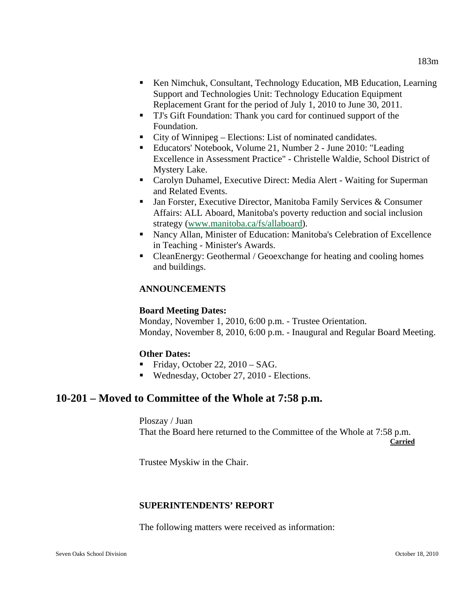- Ken Nimchuk, Consultant, Technology Education, MB Education, Learning Support and Technologies Unit: Technology Education Equipment Replacement Grant for the period of July 1, 2010 to June 30, 2011.
- TJ's Gift Foundation: Thank you card for continued support of the Foundation.
- City of Winnipeg Elections: List of nominated candidates.
- Educators' Notebook, Volume 21, Number 2 June 2010: "Leading Excellence in Assessment Practice" - Christelle Waldie, School District of Mystery Lake.
- Carolyn Duhamel, Executive Direct: Media Alert Waiting for Superman and Related Events.
- Jan Forster, Executive Director, Manitoba Family Services & Consumer Affairs: ALL Aboard, Manitoba's poverty reduction and social inclusion strategy [\(www.manitoba.ca/fs/allaboard\)](http://www.manitoba.ca/fs/allaboard).
- Nancy Allan, Minister of Education: Manitoba's Celebration of Excellence in Teaching - Minister's Awards.
- CleanEnergy: Geothermal / Geoexchange for heating and cooling homes and buildings.

## **ANNOUNCEMENTS**

#### **Board Meeting Dates:**

Monday, November 1, 2010, 6:00 p.m. - Trustee Orientation. Monday, November 8, 2010, 6:00 p.m. - Inaugural and Regular Board Meeting.

#### **Other Dates:**

- Friday, October 22,  $2010 SAG$ .
- Wednesday, October 27, 2010 Elections.

# **10-201 – Moved to Committee of the Whole at 7:58 p.m.**

Ploszay / Juan That the Board here returned to the Committee of the Whole at 7:58 p.m. **Carried** 

Trustee Myskiw in the Chair.

#### **SUPERINTENDENTS' REPORT**

The following matters were received as information: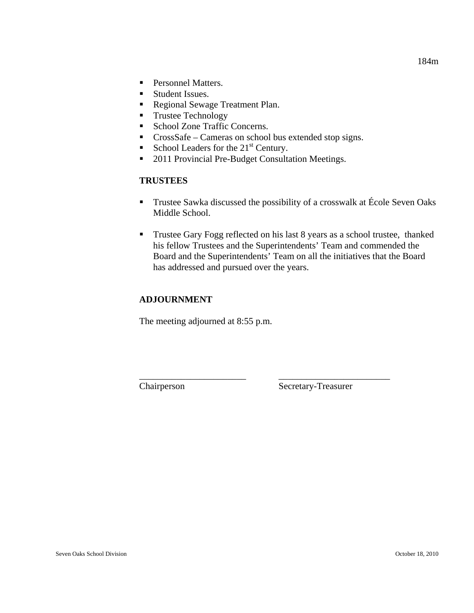- **Personnel Matters.**
- **Student Issues.**
- Regional Sewage Treatment Plan.
- **Trustee Technology**
- School Zone Traffic Concerns.
- CrossSafe Cameras on school bus extended stop signs.
- School Leaders for the  $21<sup>st</sup>$  Century.
- 2011 Provincial Pre-Budget Consultation Meetings.

## **TRUSTEES**

- **Trustee Sawka discussed the possibility of a crosswalk at École Seven Oaks** Middle School.
- **Trustee Gary Fogg reflected on his last 8 years as a school trustee, thanked** his fellow Trustees and the Superintendents' Team and commended the Board and the Superintendents' Team on all the initiatives that the Board has addressed and pursued over the years.

\_\_\_\_\_\_\_\_\_\_\_\_\_\_\_\_\_\_\_\_\_\_\_ \_\_\_\_\_\_\_\_\_\_\_\_\_\_\_\_\_\_\_\_\_\_\_\_

## **ADJOURNMENT**

The meeting adjourned at 8:55 p.m.

Chairperson Secretary-Treasurer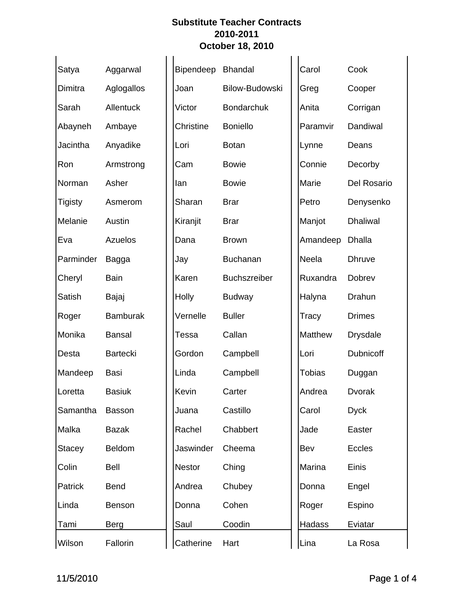| Satya         | Aggarwal        | Bipendeep | <b>Bhandal</b>        | Carol         | Cook               |
|---------------|-----------------|-----------|-----------------------|---------------|--------------------|
| Dimitra       | Aglogallos      | Joan      | <b>Bilow-Budowski</b> | Greg          | Cooper             |
| Sarah         | Allentuck       | Victor    | <b>Bondarchuk</b>     | Anita         | Corrigan           |
| Abayneh       | Ambaye          | Christine | <b>Boniello</b>       | Paramvir      | Dandiwal           |
| Jacintha      | Anyadike        | Lori      | <b>Botan</b>          | Lynne         | Deans              |
| Ron           | Armstrong       | Cam       | <b>Bowie</b>          | Connie        | Decorby            |
| Norman        | Asher           | lan       | <b>Bowie</b>          | Marie         | <b>Del Rosario</b> |
| Tigisty       | Asmerom         | Sharan    | <b>Brar</b>           | Petro         | Denysenko          |
| Melanie       | Austin          | Kiranjit  | <b>Brar</b>           | Manjot        | <b>Dhaliwal</b>    |
| Eva           | Azuelos         | Dana      | <b>Brown</b>          | Amandeep      | Dhalla             |
| Parminder     | Bagga           | Jay       | <b>Buchanan</b>       | Neela         | <b>Dhruve</b>      |
| Cheryl        | <b>Bain</b>     | Karen     | <b>Buchszreiber</b>   | Ruxandra      | Dobrev             |
| Satish        | Bajaj           | Holly     | <b>Budway</b>         | Halyna        | Drahun             |
| Roger         | <b>Bamburak</b> | Vernelle  | <b>Buller</b>         | Tracy         | <b>Drimes</b>      |
| Monika        | <b>Bansal</b>   | Tessa     | Callan                | Matthew       | <b>Drysdale</b>    |
| Desta         | <b>Bartecki</b> | Gordon    | Campbell              | Lori          | Dubnicoff          |
| Mandeep       | Basi            | Linda     | Campbell              | <b>Tobias</b> | Duggan             |
| Loretta       | <b>Basiuk</b>   | Kevin     | Carter                | Andrea        | <b>Dvorak</b>      |
| Samantha      | <b>Basson</b>   | Juana     | Castillo              | Carol         | <b>Dyck</b>        |
| Malka         | <b>Bazak</b>    | Rachel    | Chabbert              | Jade          | Easter             |
| <b>Stacey</b> | Beldom          | Jaswinder | Cheema                | Bev           | <b>Eccles</b>      |
| Colin         | Bell            | Nestor    | Ching                 | Marina        | Einis              |
| Patrick       | <b>Bend</b>     | Andrea    | Chubey                | Donna         | Engel              |
| Linda         | Benson          | Donna     | Cohen                 | Roger         | Espino             |
| Tami          | Berg            | Saul      | Coodin                | Hadass        | Eviatar            |
| Wilson        | Fallorin        | Catherine | Hart                  | Lina          | La Rosa            |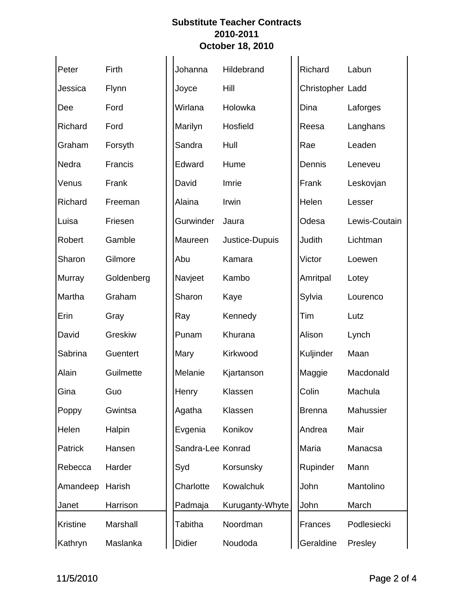| Peter    | Firth      | Johanna           | Hildebrand      | Richard          | Labun         |
|----------|------------|-------------------|-----------------|------------------|---------------|
| Jessica  | Flynn      | Joyce             | Hill            | Christopher Ladd |               |
| Dee      | Ford       | Wirlana           | Holowka         | Dina             | Laforges      |
| Richard  | Ford       | Marilyn           | Hosfield        | Reesa            | Langhans      |
| Graham   | Forsyth    | Sandra            | Hull            | Rae              | Leaden        |
| Nedra    | Francis    | Edward            | Hume            | Dennis           | Leneveu       |
| Venus    | Frank      | David             | Imrie           | Frank            | Leskovjan     |
| Richard  | Freeman    | Alaina            | Irwin           | Helen            | Lesser        |
| Luisa    | Friesen    | Gurwinder         | Jaura           | Odesa            | Lewis-Coutain |
| Robert   | Gamble     | Maureen           | Justice-Dupuis  | Judith           | Lichtman      |
| Sharon   | Gilmore    | Abu               | Kamara          | Victor           | Loewen        |
| Murray   | Goldenberg | Navjeet           | Kambo           | Amritpal         | Lotey         |
| Martha   | Graham     | Sharon            | Kaye            | Sylvia           | Lourenco      |
| Erin     | Gray       | Ray               | Kennedy         | Tim              | Lutz          |
| David    | Greskiw    | Punam             | Khurana         | Alison           | Lynch         |
| Sabrina  | Guentert   | Mary              | Kirkwood        | Kuljinder        | Maan          |
| Alain    | Guilmette  | Melanie           | Kjartanson      | Maggie           | Macdonald     |
| Gina     | Guo        | Henry             | Klassen         | Colin            | Machula       |
| Poppy    | Gwintsa    | Agatha            | Klassen         | <b>Brenna</b>    | Mahussier     |
| Helen    | Halpin     | Evgenia           | Konikov         | Andrea           | Mair          |
| Patrick  | Hansen     | Sandra-Lee Konrad |                 | Maria            | Manacsa       |
| Rebecca  | Harder     | Syd               | Korsunsky       | Rupinder         | Mann          |
| Amandeep | Harish     | Charlotte         | Kowalchuk       | John             | Mantolino     |
| Janet    | Harrison   | Padmaja           | Kuruganty-Whyte | John             | March         |
| Kristine | Marshall   | <b>Tabitha</b>    | Noordman        | Frances          | Podlesiecki   |
| Kathryn  | Maslanka   | <b>Didier</b>     | Noudoda         | Geraldine        | Presley       |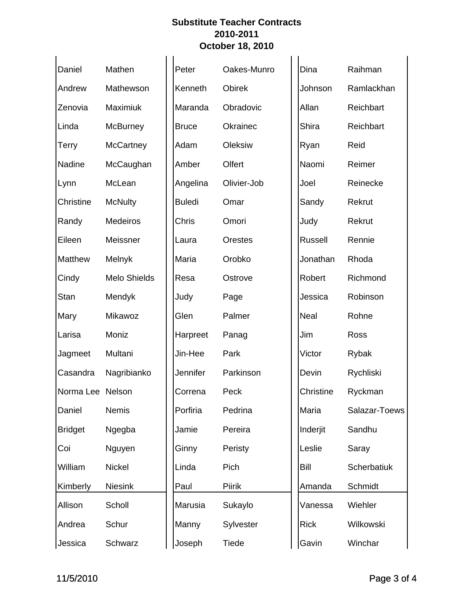| Daniel           | Mathen              | Peter         | Oakes-Munro    | Dina         | Raihman       |
|------------------|---------------------|---------------|----------------|--------------|---------------|
| Andrew           | Mathewson           | Kenneth       | Obirek         | Johnson      | Ramlackhan    |
| Zenovia          | Maximiuk            | Maranda       | Obradovic      | Allan        | Reichbart     |
| Linda            | <b>McBurney</b>     | <b>Bruce</b>  | Okrainec       | <b>Shira</b> | Reichbart     |
| Terry            | <b>McCartney</b>    | Adam          | Oleksiw        | Ryan         | Reid          |
| Nadine           | McCaughan           | Amber         | Olfert         | Naomi        | Reimer        |
| Lynn             | McLean              | Angelina      | Olivier-Job    | Joel         | Reinecke      |
| Christine        | <b>McNulty</b>      | <b>Buledi</b> | Omar           | Sandy        | Rekrut        |
| Randy            | Medeiros            | Chris         | Omori          | Judy         | Rekrut        |
| Eileen           | Meissner            | Laura         | <b>Orestes</b> | Russell      | Rennie        |
| Matthew          | Melnyk              | Maria         | Orobko         | Jonathan     | Rhoda         |
| Cindy            | <b>Melo Shields</b> | Resa          | Ostrove        | Robert       | Richmond      |
| Stan             | Mendyk              | Judy          | Page           | Jessica      | Robinson      |
| Mary             | Mikawoz             | Glen          | Palmer         | Neal         | Rohne         |
| Larisa           | Moniz               | Harpreet      | Panag          | Jim          | Ross          |
| Jagmeet          | Multani             | Jin-Hee       | Park           | Victor       | Rybak         |
| Casandra         | Nagribianko         | Jennifer      | Parkinson      | Devin        | Rychliski     |
| Norma Lee Nelson |                     | Correna       | Peck           | Christine    | Ryckman       |
| Daniel           | <b>Nemis</b>        | Porfiria      | Pedrina        | Maria        | Salazar-Toews |
| <b>Bridget</b>   | Ngegba              | Jamie         | Pereira        | Inderjit     | Sandhu        |
| Coi              | Nguyen              | Ginny         | Peristy        | Leslie       | Saray         |
| William          | Nickel              | Linda         | Pich           | <b>Bill</b>  | Scherbatiuk   |
| Kimberly         | <b>Niesink</b>      | Paul          | <b>Piirik</b>  | Amanda       | Schmidt       |
| Allison          | Scholl              | Marusia       | Sukaylo        | Vanessa      | Wiehler       |
| Andrea           | Schur               | Manny         | Sylvester      | <b>Rick</b>  | Wilkowski     |
| Jessica          | Schwarz             | Joseph        | Tiede          | Gavin        | Winchar       |